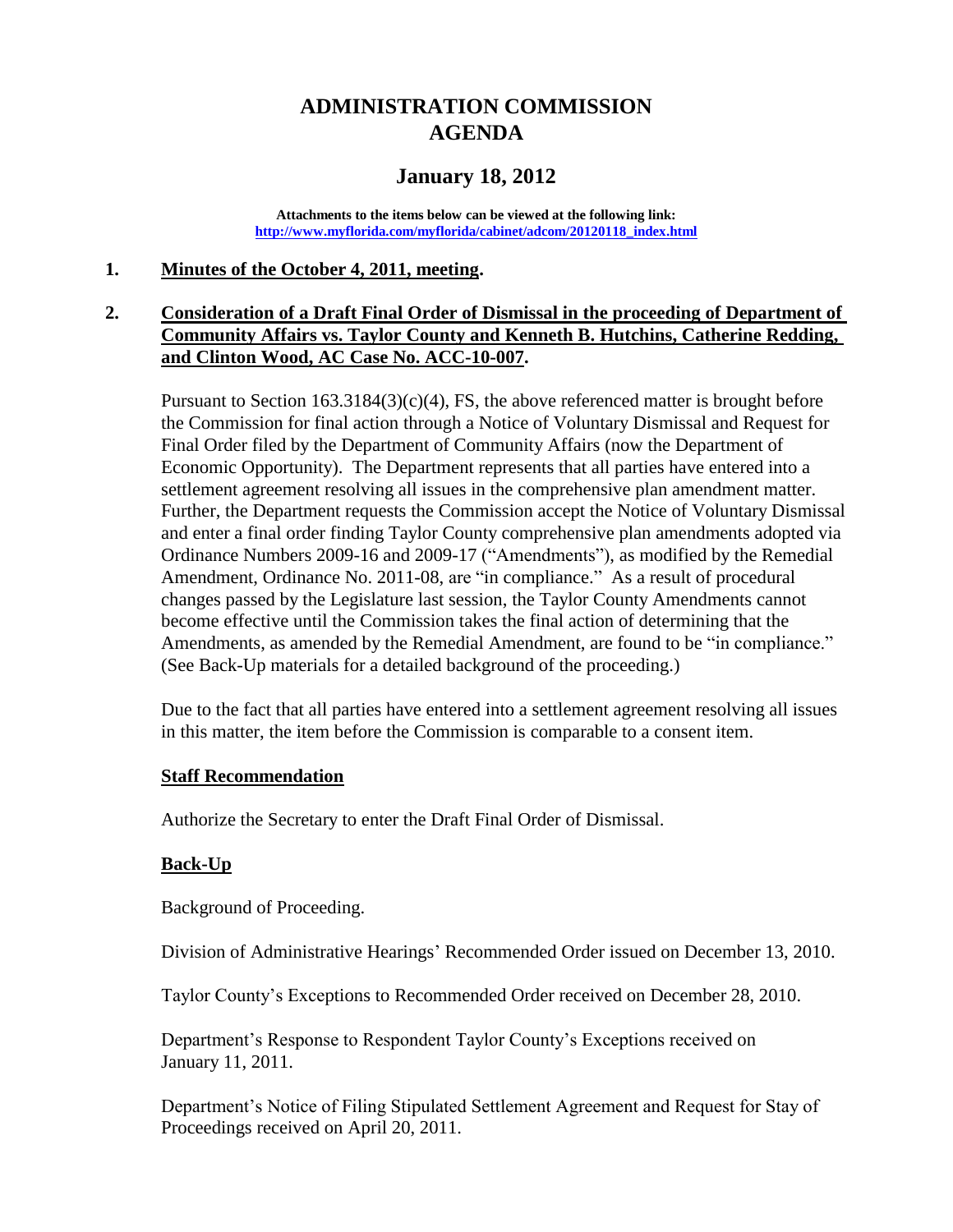# **ADMINISTRATION COMMISSION AGENDA**

# **January 18, 2012**

**Attachments to the items below can be viewed at the following link: [http://www.myflorida.com/myflorida/cabinet/adcom/20120118\\_index.html](http://www.myflorida.com/myflorida/cabinet/adcom/20120118_index.html)**

#### **1. Minutes of the October 4, 2011, meeting.**

### **2. Consideration of a Draft Final Order of Dismissal in the proceeding of Department of Community Affairs vs. Taylor County and Kenneth B. Hutchins, Catherine Redding, and Clinton Wood, AC Case No. ACC-10-007.**

Pursuant to Section  $163.3184(3)(c)(4)$ , FS, the above referenced matter is brought before the Commission for final action through a Notice of Voluntary Dismissal and Request for Final Order filed by the Department of Community Affairs (now the Department of Economic Opportunity). The Department represents that all parties have entered into a settlement agreement resolving all issues in the comprehensive plan amendment matter. Further, the Department requests the Commission accept the Notice of Voluntary Dismissal and enter a final order finding Taylor County comprehensive plan amendments adopted via Ordinance Numbers 2009-16 and 2009-17 ("Amendments"), as modified by the Remedial Amendment, Ordinance No. 2011-08, are "in compliance." As a result of procedural changes passed by the Legislature last session, the Taylor County Amendments cannot become effective until the Commission takes the final action of determining that the Amendments, as amended by the Remedial Amendment, are found to be "in compliance." (See Back-Up materials for a detailed background of the proceeding.)

Due to the fact that all parties have entered into a settlement agreement resolving all issues in this matter, the item before the Commission is comparable to a consent item.

#### **Staff Recommendation**

Authorize the Secretary to enter the Draft Final Order of Dismissal.

#### **Back-Up**

Background of Proceeding.

Division of Administrative Hearings' Recommended Order issued on December 13, 2010.

Taylor County's Exceptions to Recommended Order received on December 28, 2010.

Department's Response to Respondent Taylor County's Exceptions received on January 11, 2011.

Department's Notice of Filing Stipulated Settlement Agreement and Request for Stay of Proceedings received on April 20, 2011.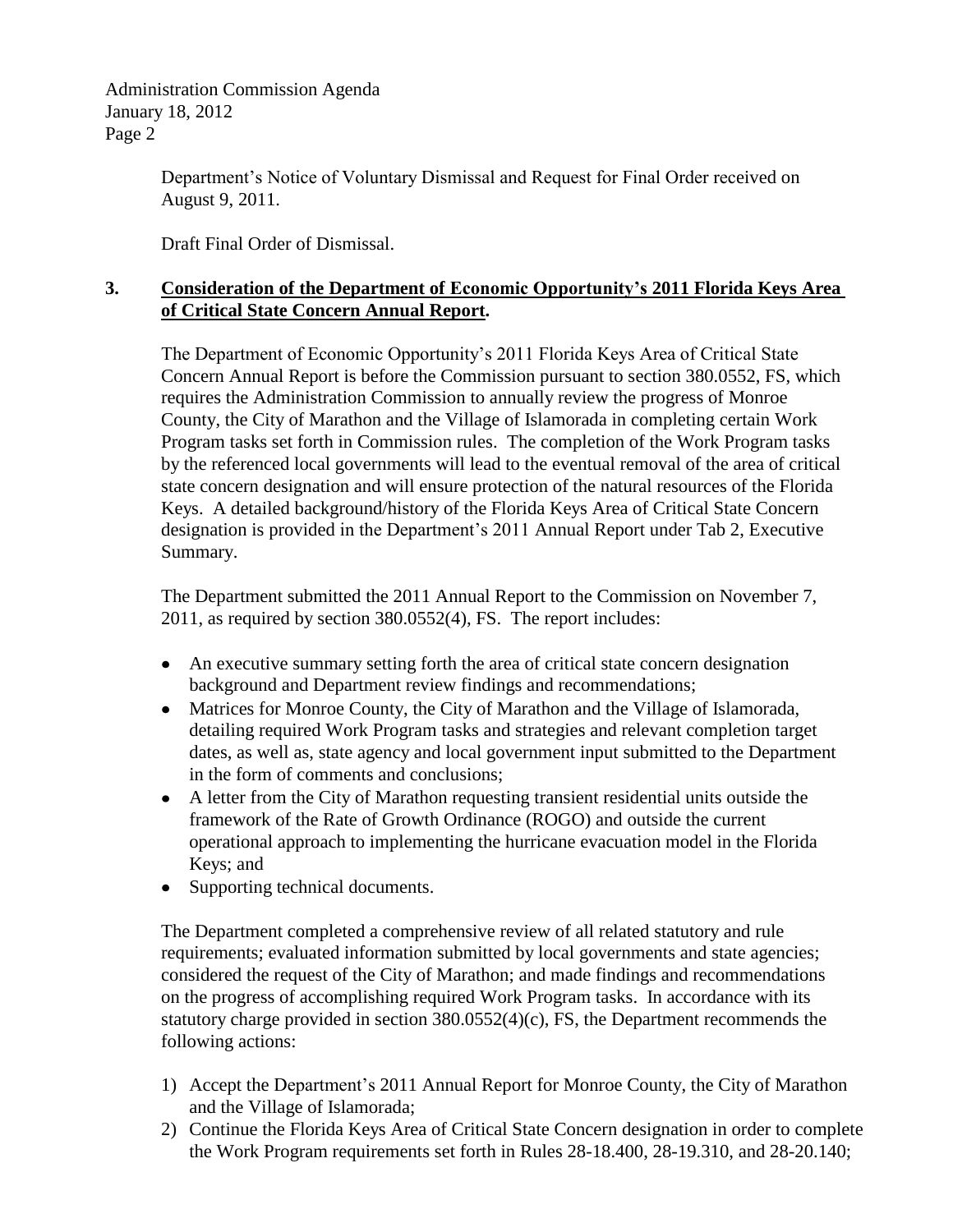Administration Commission Agenda January 18, 2012 Page 2

> Department's Notice of Voluntary Dismissal and Request for Final Order received on August 9, 2011.

Draft Final Order of Dismissal.

### **3. Consideration of the Department of Economic Opportunity's 2011 Florida Keys Area of Critical State Concern Annual Report.**

The Department of Economic Opportunity's 2011 Florida Keys Area of Critical State Concern Annual Report is before the Commission pursuant to section 380.0552, FS, which requires the Administration Commission to annually review the progress of Monroe County, the City of Marathon and the Village of Islamorada in completing certain Work Program tasks set forth in Commission rules. The completion of the Work Program tasks by the referenced local governments will lead to the eventual removal of the area of critical state concern designation and will ensure protection of the natural resources of the Florida Keys. A detailed background/history of the Florida Keys Area of Critical State Concern designation is provided in the Department's 2011 Annual Report under Tab 2, Executive Summary.

The Department submitted the 2011 Annual Report to the Commission on November 7, 2011, as required by section 380.0552(4), FS. The report includes:

- An executive summary setting forth the area of critical state concern designation background and Department review findings and recommendations;
- Matrices for Monroe County, the City of Marathon and the Village of Islamorada, detailing required Work Program tasks and strategies and relevant completion target dates, as well as, state agency and local government input submitted to the Department in the form of comments and conclusions;
- A letter from the City of Marathon requesting transient residential units outside the framework of the Rate of Growth Ordinance (ROGO) and outside the current operational approach to implementing the hurricane evacuation model in the Florida Keys; and
- Supporting technical documents.

The Department completed a comprehensive review of all related statutory and rule requirements; evaluated information submitted by local governments and state agencies; considered the request of the City of Marathon; and made findings and recommendations on the progress of accomplishing required Work Program tasks. In accordance with its statutory charge provided in section 380.0552(4)(c), FS, the Department recommends the following actions:

- 1) Accept the Department's 2011 Annual Report for Monroe County, the City of Marathon and the Village of Islamorada;
- 2) Continue the Florida Keys Area of Critical State Concern designation in order to complete the Work Program requirements set forth in Rules 28-18.400, 28-19.310, and 28-20.140;